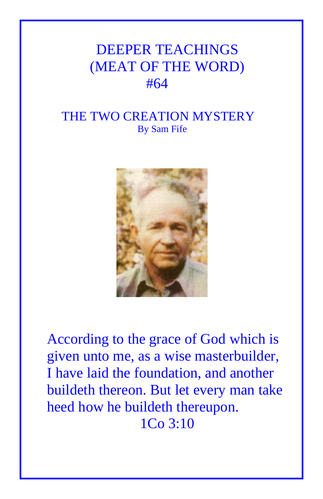## DEEPER TEACHINGS (MEAT OF THE WORD) #64

## THE TWO CREATION MYSTERY By Sam Fife



According to the grace of God which is given unto me, as a wise masterbuilder, I have laid the foundation, and another buildeth thereon. But let every man take heed how he buildeth thereupon. 1Co 3:10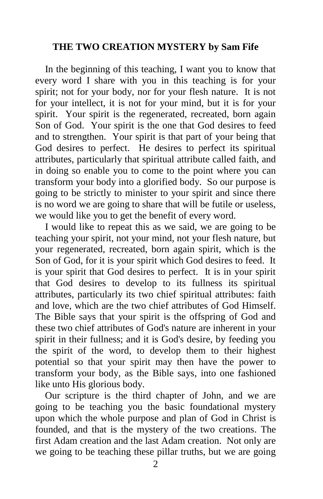## **THE TWO CREATION MYSTERY by Sam Fife**

 In the beginning of this teaching, I want you to know that every word I share with you in this teaching is for your spirit; not for your body, nor for your flesh nature. It is not for your intellect, it is not for your mind, but it is for your spirit. Your spirit is the regenerated, recreated, born again Son of God. Your spirit is the one that God desires to feed and to strengthen. Your spirit is that part of your being that God desires to perfect. He desires to perfect its spiritual attributes, particularly that spiritual attribute called faith, and in doing so enable you to come to the point where you can transform your body into a glorified body. So our purpose is going to be strictly to minister to your spirit and since there is no word we are going to share that will be futile or useless, we would like you to get the benefit of every word.

 I would like to repeat this as we said, we are going to be teaching your spirit, not your mind, not your flesh nature, but your regenerated, recreated, born again spirit, which is the Son of God, for it is your spirit which God desires to feed. It is your spirit that God desires to perfect. It is in your spirit that God desires to develop to its fullness its spiritual attributes, particularly its two chief spiritual attributes: faith and love, which are the two chief attributes of God Himself. The Bible says that your spirit is the offspring of God and these two chief attributes of God's nature are inherent in your spirit in their fullness; and it is God's desire, by feeding you the spirit of the word, to develop them to their highest potential so that your spirit may then have the power to transform your body, as the Bible says, into one fashioned like unto His glorious body.

 Our scripture is the third chapter of John, and we are going to be teaching you the basic foundational mystery upon which the whole purpose and plan of God in Christ is founded, and that is the mystery of the two creations. The first Adam creation and the last Adam creation. Not only are we going to be teaching these pillar truths, but we are going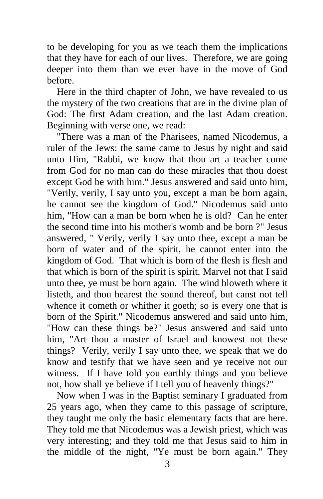to be developing for you as we teach them the implications that they have for each of our lives. Therefore, we are going deeper into them than we ever have in the move of God before.

 Here in the third chapter of John, we have revealed to us the mystery of the two creations that are in the divine plan of God: The first Adam creation, and the last Adam creation. Beginning with verse one, we read:

 "There was a man of the Pharisees, named Nicodemus, a ruler of the Jews: the same came to Jesus by night and said unto Him, "Rabbi, we know that thou art a teacher come from God for no man can do these miracles that thou doest except God be with him." Jesus answered and said unto him, "Verily, verily, I say unto you, except a man be born again, he cannot see the kingdom of God." Nicodemus said unto him, "How can a man be born when he is old? Can he enter the second time into his mother's womb and be born ?" Jesus answered, " Verily, verily I say unto thee, except a man be born of water and of the spirit, he cannot enter into the kingdom of God. That which is born of the flesh is flesh and that which is born of the spirit is spirit. Marvel not that I said unto thee, ye must be born again. The wind bloweth where it listeth, and thou hearest the sound thereof, but canst not tell whence it cometh or whither it goeth; so is every one that is born of the Spirit." Nicodemus answered and said unto him, "How can these things be?" Jesus answered and said unto him, "Art thou a master of Israel and knowest not these things? Verily, verily I say unto thee, we speak that we do know and testify that we have seen and ye receive not our witness. If I have told you earthly things and you believe not, how shall ye believe if I tell you of heavenly things?"

 Now when I was in the Baptist seminary I graduated from 25 years ago, when they came to this passage of scripture, they taught me only the basic elementary facts that are here. They told me that Nicodemus was a Jewish priest, which was very interesting; and they told me that Jesus said to him in the middle of the night, "Ye must be born again." They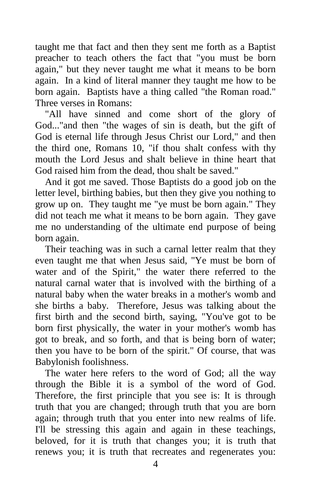taught me that fact and then they sent me forth as a Baptist preacher to teach others the fact that "you must be born again," but they never taught me what it means to be born again. In a kind of literal manner they taught me how to be born again. Baptists have a thing called "the Roman road." Three verses in Romans:

 "All have sinned and come short of the glory of God..."and then "the wages of sin is death, but the gift of God is eternal life through Jesus Christ our Lord," and then the third one, Romans 10, "if thou shalt confess with thy mouth the Lord Jesus and shalt believe in thine heart that God raised him from the dead, thou shalt be saved."

 And it got me saved. Those Baptists do a good job on the letter level, birthing babies, but then they give you nothing to grow up on. They taught me "ye must be born again." They did not teach me what it means to be born again. They gave me no understanding of the ultimate end purpose of being born again.

 Their teaching was in such a carnal letter realm that they even taught me that when Jesus said, "Ye must be born of water and of the Spirit," the water there referred to the natural carnal water that is involved with the birthing of a natural baby when the water breaks in a mother's womb and she births a baby. Therefore, Jesus was talking about the first birth and the second birth, saying, "You've got to be born first physically, the water in your mother's womb has got to break, and so forth, and that is being born of water; then you have to be born of the spirit." Of course, that was Babylonish foolishness.

 The water here refers to the word of God; all the way through the Bible it is a symbol of the word of God. Therefore, the first principle that you see is: It is through truth that you are changed; through truth that you are born again; through truth that you enter into new realms of life. I'll be stressing this again and again in these teachings, beloved, for it is truth that changes you; it is truth that renews you; it is truth that recreates and regenerates you: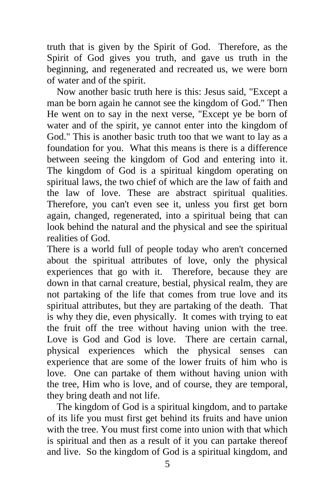truth that is given by the Spirit of God. Therefore, as the Spirit of God gives you truth, and gave us truth in the beginning, and regenerated and recreated us, we were born of water and of the spirit.

 Now another basic truth here is this: Jesus said, "Except a man be born again he cannot see the kingdom of God." Then He went on to say in the next verse, "Except ye be born of water and of the spirit, ye cannot enter into the kingdom of God." This is another basic truth too that we want to lay as a foundation for you. What this means is there is a difference between seeing the kingdom of God and entering into it. The kingdom of God is a spiritual kingdom operating on spiritual laws, the two chief of which are the law of faith and the law of love. These are abstract spiritual qualities. Therefore, you can't even see it, unless you first get born again, changed, regenerated, into a spiritual being that can look behind the natural and the physical and see the spiritual realities of God.

There is a world full of people today who aren't concerned about the spiritual attributes of love, only the physical experiences that go with it. Therefore, because they are down in that carnal creature, bestial, physical realm, they are not partaking of the life that comes from true love and its spiritual attributes, but they are partaking of the death. That is why they die, even physically. It comes with trying to eat the fruit off the tree without having union with the tree. Love is God and God is love. There are certain carnal, physical experiences which the physical senses can experience that are some of the lower fruits of him who is love. One can partake of them without having union with the tree, Him who is love, and of course, they are temporal, they bring death and not life.

 The kingdom of God is a spiritual kingdom, and to partake of its life you must first get behind its fruits and have union with the tree. You must first come into union with that which is spiritual and then as a result of it you can partake thereof and live. So the kingdom of God is a spiritual kingdom, and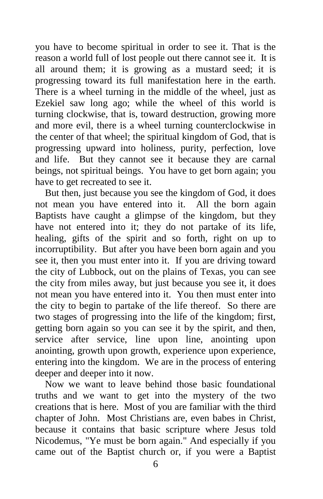you have to become spiritual in order to see it. That is the reason a world full of lost people out there cannot see it. It is all around them; it is growing as a mustard seed; it is progressing toward its full manifestation here in the earth. There is a wheel turning in the middle of the wheel, just as Ezekiel saw long ago; while the wheel of this world is turning clockwise, that is, toward destruction, growing more and more evil, there is a wheel turning counterclockwise in the center of that wheel; the spiritual kingdom of God, that is progressing upward into holiness, purity, perfection, love and life. But they cannot see it because they are carnal beings, not spiritual beings. You have to get born again; you have to get recreated to see it.

 But then, just because you see the kingdom of God, it does not mean you have entered into it. All the born again Baptists have caught a glimpse of the kingdom, but they have not entered into it; they do not partake of its life, healing, gifts of the spirit and so forth, right on up to incorruptibility. But after you have been born again and you see it, then you must enter into it. If you are driving toward the city of Lubbock, out on the plains of Texas, you can see the city from miles away, but just because you see it, it does not mean you have entered into it. You then must enter into the city to begin to partake of the life thereof. So there are two stages of progressing into the life of the kingdom; first, getting born again so you can see it by the spirit, and then, service after service, line upon line, anointing upon anointing, growth upon growth, experience upon experience, entering into the kingdom. We are in the process of entering deeper and deeper into it now.

 Now we want to leave behind those basic foundational truths and we want to get into the mystery of the two creations that is here. Most of you are familiar with the third chapter of John. Most Christians are, even babes in Christ, because it contains that basic scripture where Jesus told Nicodemus, "Ye must be born again." And especially if you came out of the Baptist church or, if you were a Baptist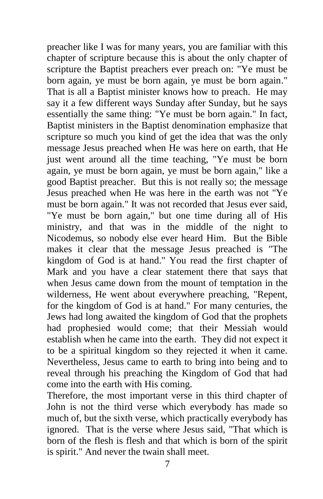preacher like I was for many years, you are familiar with this chapter of scripture because this is about the only chapter of scripture the Baptist preachers ever preach on: "Ye must be born again, ye must be born again, ye must be born again." That is all a Baptist minister knows how to preach. He may say it a few different ways Sunday after Sunday, but he says essentially the same thing: "Ye must be born again." In fact, Baptist ministers in the Baptist denomination emphasize that scripture so much you kind of get the idea that was the only message Jesus preached when He was here on earth, that He just went around all the time teaching, "Ye must be born again, ye must be born again, ye must be born again," like a good Baptist preacher. But this is not really so; the message Jesus preached when He was here in the earth was not "Ye must be born again." It was not recorded that Jesus ever said, "Ye must be born again," but one time during all of His ministry, and that was in the middle of the night to Nicodemus, so nobody else ever heard Him. But the Bible makes it clear that the message Jesus preached is "The kingdom of God is at hand." You read the first chapter of Mark and you have a clear statement there that says that when Jesus came down from the mount of temptation in the wilderness, He went about everywhere preaching, "Repent, for the kingdom of God is at hand." For many centuries, the Jews had long awaited the kingdom of God that the prophets had prophesied would come; that their Messiah would establish when he came into the earth. They did not expect it to be a spiritual kingdom so they rejected it when it came. Nevertheless, Jesus came to earth to bring into being and to reveal through his preaching the Kingdom of God that had come into the earth with His coming.

Therefore, the most important verse in this third chapter of John is not the third verse which everybody has made so much of, but the sixth verse, which practically everybody has ignored. That is the verse where Jesus said, "That which is born of the flesh is flesh and that which is born of the spirit is spirit." And never the twain shall meet.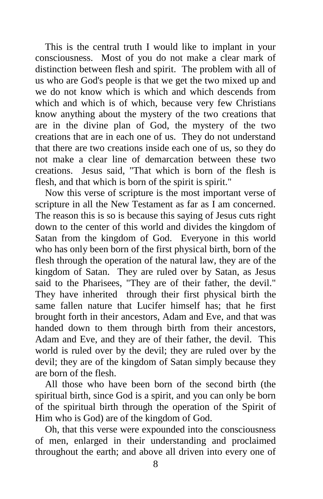This is the central truth I would like to implant in your consciousness. Most of you do not make a clear mark of distinction between flesh and spirit. The problem with all of us who are God's people is that we get the two mixed up and we do not know which is which and which descends from which and which is of which, because very few Christians know anything about the mystery of the two creations that are in the divine plan of God, the mystery of the two creations that are in each one of us. They do not understand that there are two creations inside each one of us, so they do not make a clear line of demarcation between these two creations. Jesus said, "That which is born of the flesh is flesh, and that which is born of the spirit is spirit."

 Now this verse of scripture is the most important verse of scripture in all the New Testament as far as I am concerned. The reason this is so is because this saying of Jesus cuts right down to the center of this world and divides the kingdom of Satan from the kingdom of God. Everyone in this world who has only been born of the first physical birth, born of the flesh through the operation of the natural law, they are of the kingdom of Satan. They are ruled over by Satan, as Jesus said to the Pharisees, "They are of their father, the devil." They have inherited through their first physical birth the same fallen nature that Lucifer himself has; that he first brought forth in their ancestors, Adam and Eve, and that was handed down to them through birth from their ancestors, Adam and Eve, and they are of their father, the devil. This world is ruled over by the devil; they are ruled over by the devil; they are of the kingdom of Satan simply because they are born of the flesh.

 All those who have been born of the second birth (the spiritual birth, since God is a spirit, and you can only be born of the spiritual birth through the operation of the Spirit of Him who is God) are of the kingdom of God.

 Oh, that this verse were expounded into the consciousness of men, enlarged in their understanding and proclaimed throughout the earth; and above all driven into every one of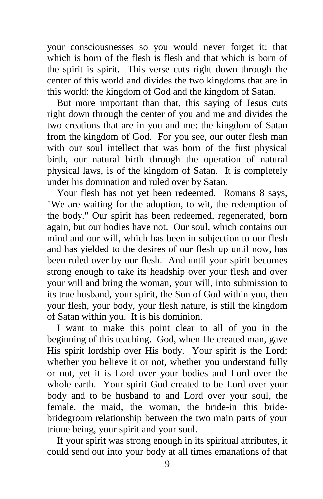your consciousnesses so you would never forget it: that which is born of the flesh is flesh and that which is born of the spirit is spirit. This verse cuts right down through the center of this world and divides the two kingdoms that are in this world: the kingdom of God and the kingdom of Satan.

 But more important than that, this saying of Jesus cuts right down through the center of you and me and divides the two creations that are in you and me: the kingdom of Satan from the kingdom of God. For you see, our outer flesh man with our soul intellect that was born of the first physical birth, our natural birth through the operation of natural physical laws, is of the kingdom of Satan. It is completely under his domination and ruled over by Satan.

 Your flesh has not yet been redeemed. Romans 8 says, "We are waiting for the adoption, to wit, the redemption of the body." Our spirit has been redeemed, regenerated, born again, but our bodies have not. Our soul, which contains our mind and our will, which has been in subjection to our flesh and has yielded to the desires of our flesh up until now, has been ruled over by our flesh. And until your spirit becomes strong enough to take its headship over your flesh and over your will and bring the woman, your will, into submission to its true husband, your spirit, the Son of God within you, then your flesh, your body, your flesh nature, is still the kingdom of Satan within you. It is his dominion.

 I want to make this point clear to all of you in the beginning of this teaching. God, when He created man, gave His spirit lordship over His body. Your spirit is the Lord; whether you believe it or not, whether you understand fully or not, yet it is Lord over your bodies and Lord over the whole earth. Your spirit God created to be Lord over your body and to be husband to and Lord over your soul, the female, the maid, the woman, the bride-in this bridebridegroom relationship between the two main parts of your triune being, your spirit and your soul.

 If your spirit was strong enough in its spiritual attributes, it could send out into your body at all times emanations of that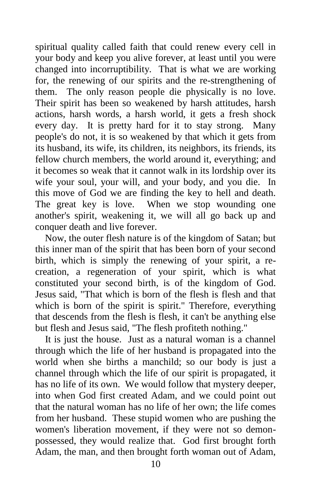spiritual quality called faith that could renew every cell in your body and keep you alive forever, at least until you were changed into incorruptibility. That is what we are working for, the renewing of our spirits and the re-strengthening of them. The only reason people die physically is no love. Their spirit has been so weakened by harsh attitudes, harsh actions, harsh words, a harsh world, it gets a fresh shock every day. It is pretty hard for it to stay strong. Many people's do not, it is so weakened by that which it gets from its husband, its wife, its children, its neighbors, its friends, its fellow church members, the world around it, everything; and it becomes so weak that it cannot walk in its lordship over its wife your soul, your will, and your body, and you die. In this move of God we are finding the key to hell and death. The great key is love. When we stop wounding one another's spirit, weakening it, we will all go back up and conquer death and live forever.

 Now, the outer flesh nature is of the kingdom of Satan; but this inner man of the spirit that has been born of your second birth, which is simply the renewing of your spirit, a recreation, a regeneration of your spirit, which is what constituted your second birth, is of the kingdom of God. Jesus said, "That which is born of the flesh is flesh and that which is born of the spirit is spirit." Therefore, everything that descends from the flesh is flesh, it can't be anything else but flesh and Jesus said, "The flesh profiteth nothing."

 It is just the house. Just as a natural woman is a channel through which the life of her husband is propagated into the world when she births a manchild; so our body is just a channel through which the life of our spirit is propagated, it has no life of its own. We would follow that mystery deeper, into when God first created Adam, and we could point out that the natural woman has no life of her own; the life comes from her husband. These stupid women who are pushing the women's liberation movement, if they were not so demonpossessed, they would realize that. God first brought forth Adam, the man, and then brought forth woman out of Adam,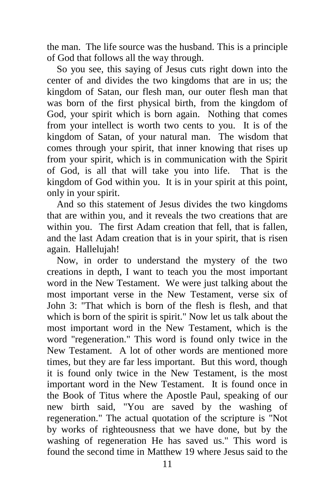the man. The life source was the husband. This is a principle of God that follows all the way through.

 So you see, this saying of Jesus cuts right down into the center of and divides the two kingdoms that are in us; the kingdom of Satan, our flesh man, our outer flesh man that was born of the first physical birth, from the kingdom of God, your spirit which is born again. Nothing that comes from your intellect is worth two cents to you. It is of the kingdom of Satan, of your natural man. The wisdom that comes through your spirit, that inner knowing that rises up from your spirit, which is in communication with the Spirit of God, is all that will take you into life. That is the kingdom of God within you. It is in your spirit at this point, only in your spirit.

 And so this statement of Jesus divides the two kingdoms that are within you, and it reveals the two creations that are within you. The first Adam creation that fell, that is fallen, and the last Adam creation that is in your spirit, that is risen again. Hallelujah!

 Now, in order to understand the mystery of the two creations in depth, I want to teach you the most important word in the New Testament. We were just talking about the most important verse in the New Testament, verse six of John 3: "That which is born of the flesh is flesh, and that which is born of the spirit is spirit." Now let us talk about the most important word in the New Testament, which is the word "regeneration." This word is found only twice in the New Testament. A lot of other words are mentioned more times, but they are far less important. But this word, though it is found only twice in the New Testament, is the most important word in the New Testament. It is found once in the Book of Titus where the Apostle Paul, speaking of our new birth said, "You are saved by the washing of regeneration." The actual quotation of the scripture is "Not by works of righteousness that we have done, but by the washing of regeneration He has saved us." This word is found the second time in Matthew 19 where Jesus said to the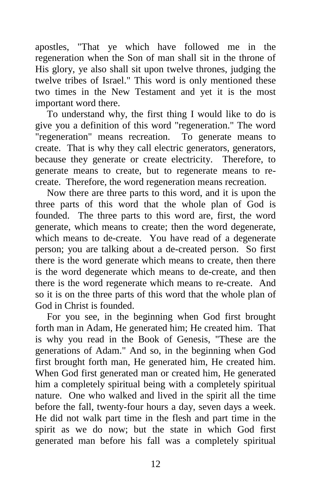apostles, "That ye which have followed me in the regeneration when the Son of man shall sit in the throne of His glory, ye also shall sit upon twelve thrones, judging the twelve tribes of Israel." This word is only mentioned these two times in the New Testament and yet it is the most important word there.

To understand why, the first thing I would like to do is give you a definition of this word "regeneration." The word "regeneration" means recreation. To generate means to create. That is why they call electric generators, generators, because they generate or create electricity. Therefore, to generate means to create, but to regenerate means to recreate. Therefore, the word regeneration means recreation.

Now there are three parts to this word, and it is upon the three parts of this word that the whole plan of God is founded. The three parts to this word are, first, the word generate, which means to create; then the word degenerate, which means to de-create. You have read of a degenerate person; you are talking about a de-created person. So first there is the word generate which means to create, then there is the word degenerate which means to de-create, and then there is the word regenerate which means to re-create. And so it is on the three parts of this word that the whole plan of God in Christ is founded.

For you see, in the beginning when God first brought forth man in Adam, He generated him; He created him. That is why you read in the Book of Genesis, "These are the generations of Adam." And so, in the beginning when God first brought forth man, He generated him, He created him. When God first generated man or created him, He generated him a completely spiritual being with a completely spiritual nature. One who walked and lived in the spirit all the time before the fall, twenty-four hours a day, seven days a week. He did not walk part time in the flesh and part time in the spirit as we do now; but the state in which God first generated man before his fall was a completely spiritual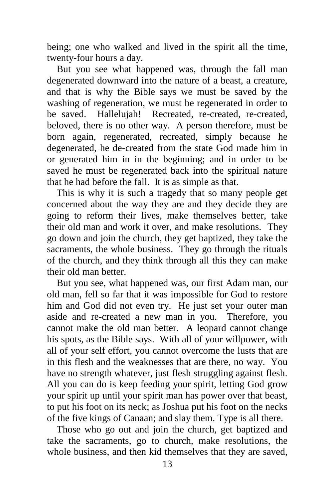being; one who walked and lived in the spirit all the time, twenty-four hours a day.

 But you see what happened was, through the fall man degenerated downward into the nature of a beast, a creature, and that is why the Bible says we must be saved by the washing of regeneration, we must be regenerated in order to be saved. Hallelujah! Recreated, re-created, re-created, beloved, there is no other way. A person therefore, must be born again, regenerated, recreated, simply because he degenerated, he de-created from the state God made him in or generated him in in the beginning; and in order to be saved he must be regenerated back into the spiritual nature that he had before the fall. It is as simple as that.

 This is why it is such a tragedy that so many people get concerned about the way they are and they decide they are going to reform their lives, make themselves better, take their old man and work it over, and make resolutions. They go down and join the church, they get baptized, they take the sacraments, the whole business. They go through the rituals of the church, and they think through all this they can make their old man better.

 But you see, what happened was, our first Adam man, our old man, fell so far that it was impossible for God to restore him and God did not even try. He just set your outer man aside and re-created a new man in you. Therefore, you cannot make the old man better. A leopard cannot change his spots, as the Bible says. With all of your willpower, with all of your self effort, you cannot overcome the lusts that are in this flesh and the weaknesses that are there, no way. You have no strength whatever, just flesh struggling against flesh. All you can do is keep feeding your spirit, letting God grow your spirit up until your spirit man has power over that beast, to put his foot on its neck; as Joshua put his foot on the necks of the five kings of Canaan; and slay them. Type is all there.

 Those who go out and join the church, get baptized and take the sacraments, go to church, make resolutions, the whole business, and then kid themselves that they are saved,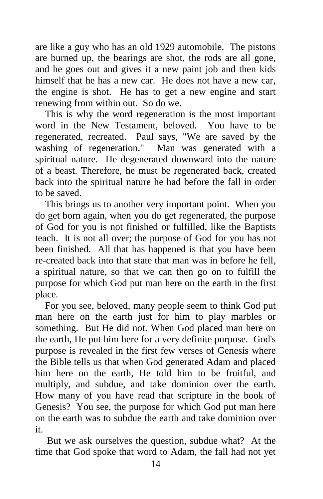are like a guy who has an old 1929 automobile. The pistons are burned up, the bearings are shot, the rods are all gone, and he goes out and gives it a new paint job and then kids himself that he has a new car. He does not have a new car, the engine is shot. He has to get a new engine and start renewing from within out. So do we.

 This is why the word regeneration is the most important word in the New Testament, beloved. You have to be regenerated, recreated. Paul says, "We are saved by the washing of regeneration." Man was generated with a spiritual nature. He degenerated downward into the nature of a beast. Therefore, he must be regenerated back, created back into the spiritual nature he had before the fall in order to be saved.

 This brings us to another very important point. When you do get born again, when you do get regenerated, the purpose of God for you is not finished or fulfilled, like the Baptists teach. It is not all over; the purpose of God for you has not been finished. All that has happened is that you have been re-created back into that state that man was in before he fell, a spiritual nature, so that we can then go on to fulfill the purpose for which God put man here on the earth in the first place.

 For you see, beloved, many people seem to think God put man here on the earth just for him to play marbles or something. But He did not. When God placed man here on the earth, He put him here for a very definite purpose. God's purpose is revealed in the first few verses of Genesis where the Bible tells us that when God generated Adam and placed him here on the earth, He told him to be fruitful, and multiply, and subdue, and take dominion over the earth. How many of you have read that scripture in the book of Genesis? You see, the purpose for which God put man here on the earth was to subdue the earth and take dominion over it.

But we ask ourselves the question, subdue what? At the time that God spoke that word to Adam, the fall had not yet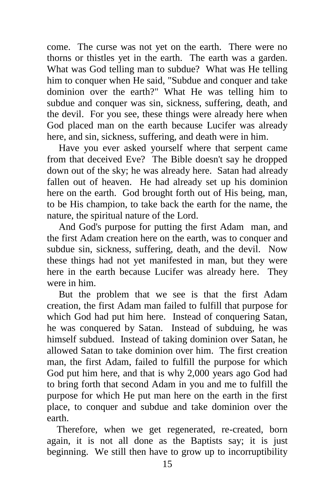come. The curse was not yet on the earth. There were no thorns or thistles yet in the earth. The earth was a garden. What was God telling man to subdue? What was He telling him to conquer when He said, "Subdue and conquer and take dominion over the earth?" What He was telling him to subdue and conquer was sin, sickness, suffering, death, and the devil. For you see, these things were already here when God placed man on the earth because Lucifer was already here, and sin, sickness, suffering, and death were in him.

Have you ever asked yourself where that serpent came from that deceived Eve? The Bible doesn't say he dropped down out of the sky; he was already here. Satan had already fallen out of heaven. He had already set up his dominion here on the earth. God brought forth out of His being, man, to be His champion, to take back the earth for the name, the nature, the spiritual nature of the Lord.

And God's purpose for putting the first Adam man, and the first Adam creation here on the earth, was to conquer and subdue sin, sickness, suffering, death, and the devil. Now these things had not yet manifested in man, but they were here in the earth because Lucifer was already here. They were in him.

But the problem that we see is that the first Adam creation, the first Adam man failed to fulfill that purpose for which God had put him here. Instead of conquering Satan, he was conquered by Satan. Instead of subduing, he was himself subdued. Instead of taking dominion over Satan, he allowed Satan to take dominion over him. The first creation man, the first Adam, failed to fulfill the purpose for which God put him here, and that is why 2,000 years ago God had to bring forth that second Adam in you and me to fulfill the purpose for which He put man here on the earth in the first place, to conquer and subdue and take dominion over the earth.

Therefore, when we get regenerated, re-created, born again, it is not all done as the Baptists say; it is just beginning. We still then have to grow up to incorruptibility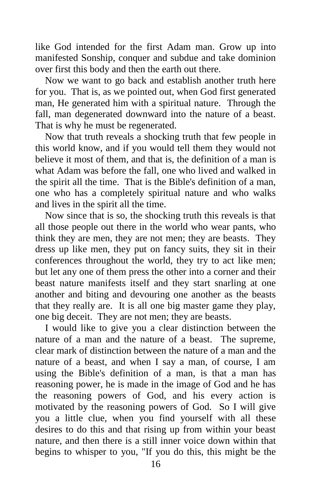like God intended for the first Adam man. Grow up into manifested Sonship, conquer and subdue and take dominion over first this body and then the earth out there.

 Now we want to go back and establish another truth here for you. That is, as we pointed out, when God first generated man, He generated him with a spiritual nature. Through the fall, man degenerated downward into the nature of a beast. That is why he must be regenerated.

 Now that truth reveals a shocking truth that few people in this world know, and if you would tell them they would not believe it most of them, and that is, the definition of a man is what Adam was before the fall, one who lived and walked in the spirit all the time. That is the Bible's definition of a man, one who has a completely spiritual nature and who walks and lives in the spirit all the time.

 Now since that is so, the shocking truth this reveals is that all those people out there in the world who wear pants, who think they are men, they are not men; they are beasts. They dress up like men, they put on fancy suits, they sit in their conferences throughout the world, they try to act like men; but let any one of them press the other into a corner and their beast nature manifests itself and they start snarling at one another and biting and devouring one another as the beasts that they really are. It is all one big master game they play, one big deceit. They are not men; they are beasts.

 I would like to give you a clear distinction between the nature of a man and the nature of a beast. The supreme, clear mark of distinction between the nature of a man and the nature of a beast, and when I say a man, of course, I am using the Bible's definition of a man, is that a man has reasoning power, he is made in the image of God and he has the reasoning powers of God, and his every action is motivated by the reasoning powers of God. So I will give you a little clue, when you find yourself with all these desires to do this and that rising up from within your beast nature, and then there is a still inner voice down within that begins to whisper to you, "If you do this, this might be the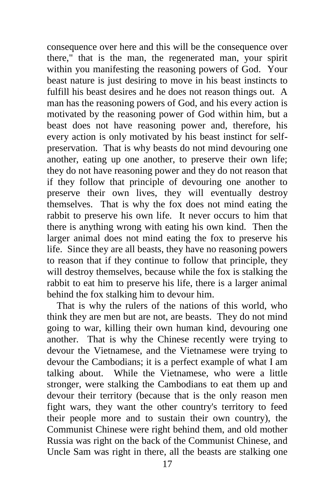consequence over here and this will be the consequence over there," that is the man, the regenerated man, your spirit within you manifesting the reasoning powers of God. Your beast nature is just desiring to move in his beast instincts to fulfill his beast desires and he does not reason things out. A man has the reasoning powers of God, and his every action is motivated by the reasoning power of God within him, but a beast does not have reasoning power and, therefore, his every action is only motivated by his beast instinct for selfpreservation. That is why beasts do not mind devouring one another, eating up one another, to preserve their own life; they do not have reasoning power and they do not reason that if they follow that principle of devouring one another to preserve their own lives, they will eventually destroy themselves. That is why the fox does not mind eating the rabbit to preserve his own life. It never occurs to him that there is anything wrong with eating his own kind. Then the larger animal does not mind eating the fox to preserve his life. Since they are all beasts, they have no reasoning powers to reason that if they continue to follow that principle, they will destroy themselves, because while the fox is stalking the rabbit to eat him to preserve his life, there is a larger animal behind the fox stalking him to devour him.

 That is why the rulers of the nations of this world, who think they are men but are not, are beasts. They do not mind going to war, killing their own human kind, devouring one another. That is why the Chinese recently were trying to devour the Vietnamese, and the Vietnamese were trying to devour the Cambodians; it is a perfect example of what I am talking about. While the Vietnamese, who were a little stronger, were stalking the Cambodians to eat them up and devour their territory (because that is the only reason men fight wars, they want the other country's territory to feed their people more and to sustain their own country), the Communist Chinese were right behind them, and old mother Russia was right on the back of the Communist Chinese, and Uncle Sam was right in there, all the beasts are stalking one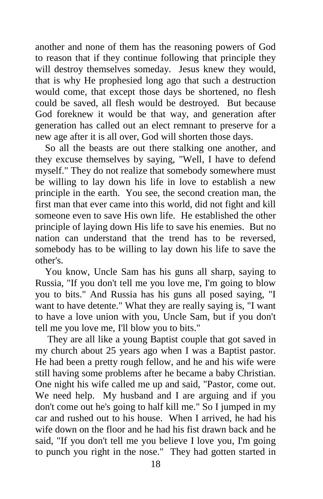another and none of them has the reasoning powers of God to reason that if they continue following that principle they will destroy themselves someday. Jesus knew they would, that is why He prophesied long ago that such a destruction would come, that except those days be shortened, no flesh could be saved, all flesh would be destroyed. But because God foreknew it would be that way, and generation after generation has called out an elect remnant to preserve for a new age after it is all over, God will shorten those days.

 So all the beasts are out there stalking one another, and they excuse themselves by saying, "Well, I have to defend myself." They do not realize that somebody somewhere must be willing to lay down his life in love to establish a new principle in the earth. You see, the second creation man, the first man that ever came into this world, did not fight and kill someone even to save His own life. He established the other principle of laying down His life to save his enemies. But no nation can understand that the trend has to be reversed, somebody has to be willing to lay down his life to save the other's.

 You know, Uncle Sam has his guns all sharp, saying to Russia, "If you don't tell me you love me, I'm going to blow you to bits." And Russia has his guns all posed saying, "I want to have detente." What they are really saying is, "I want to have a love union with you, Uncle Sam, but if you don't tell me you love me, I'll blow you to bits."

 They are all like a young Baptist couple that got saved in my church about 25 years ago when I was a Baptist pastor. He had been a pretty rough fellow, and he and his wife were still having some problems after he became a baby Christian. One night his wife called me up and said, "Pastor, come out. We need help. My husband and I are arguing and if you don't come out he's going to half kill me." So I jumped in my car and rushed out to his house. When I arrived, he had his wife down on the floor and he had his fist drawn back and he said, "If you don't tell me you believe I love you, I'm going to punch you right in the nose." They had gotten started in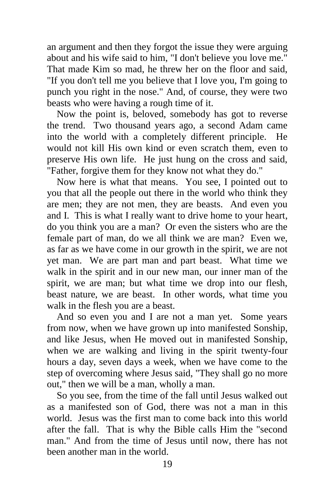an argument and then they forgot the issue they were arguing about and his wife said to him, "I don't believe you love me." That made Kim so mad, he threw her on the floor and said, "If you don't tell me you believe that I love you, I'm going to punch you right in the nose." And, of course, they were two beasts who were having a rough time of it.

 Now the point is, beloved, somebody has got to reverse the trend. Two thousand years ago, a second Adam came into the world with a completely different principle. He would not kill His own kind or even scratch them, even to preserve His own life. He just hung on the cross and said, "Father, forgive them for they know not what they do."

 Now here is what that means. You see, I pointed out to you that all the people out there in the world who think they are men; they are not men, they are beasts. And even you and I. This is what I really want to drive home to your heart, do you think you are a man? Or even the sisters who are the female part of man, do we all think we are man? Even we, as far as we have come in our growth in the spirit, we are not yet man. We are part man and part beast. What time we walk in the spirit and in our new man, our inner man of the spirit, we are man; but what time we drop into our flesh, beast nature, we are beast. In other words, what time you walk in the flesh you are a beast.

 And so even you and I are not a man yet. Some years from now, when we have grown up into manifested Sonship, and like Jesus, when He moved out in manifested Sonship, when we are walking and living in the spirit twenty-four hours a day, seven days a week, when we have come to the step of overcoming where Jesus said, "They shall go no more out," then we will be a man, wholly a man.

 So you see, from the time of the fall until Jesus walked out as a manifested son of God, there was not a man in this world. Jesus was the first man to come back into this world after the fall. That is why the Bible calls Him the "second man." And from the time of Jesus until now, there has not been another man in the world.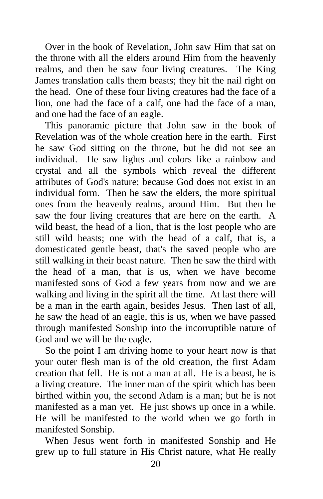Over in the book of Revelation, John saw Him that sat on the throne with all the elders around Him from the heavenly realms, and then he saw four living creatures. The King James translation calls them beasts; they hit the nail right on the head. One of these four living creatures had the face of a lion, one had the face of a calf, one had the face of a man, and one had the face of an eagle.

 This panoramic picture that John saw in the book of Revelation was of the whole creation here in the earth. First he saw God sitting on the throne, but he did not see an individual. He saw lights and colors like a rainbow and crystal and all the symbols which reveal the different attributes of God's nature; because God does not exist in an individual form. Then he saw the elders, the more spiritual ones from the heavenly realms, around Him. But then he saw the four living creatures that are here on the earth. A wild beast, the head of a lion, that is the lost people who are still wild beasts; one with the head of a calf, that is, a domesticated gentle beast, that's the saved people who are still walking in their beast nature. Then he saw the third with the head of a man, that is us, when we have become manifested sons of God a few years from now and we are walking and living in the spirit all the time. At last there will be a man in the earth again, besides Jesus. Then last of all, he saw the head of an eagle, this is us, when we have passed through manifested Sonship into the incorruptible nature of God and we will be the eagle.

 So the point I am driving home to your heart now is that your outer flesh man is of the old creation, the first Adam creation that fell. He is not a man at all. He is a beast, he is a living creature. The inner man of the spirit which has been birthed within you, the second Adam is a man; but he is not manifested as a man yet. He just shows up once in a while. He will be manifested to the world when we go forth in manifested Sonship.

 When Jesus went forth in manifested Sonship and He grew up to full stature in His Christ nature, what He really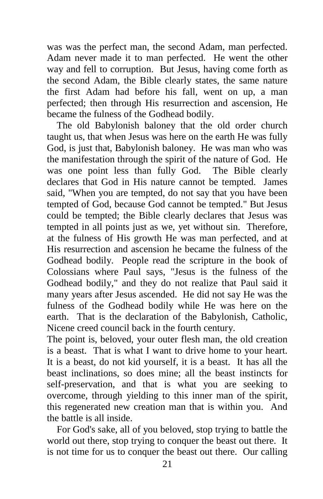was was the perfect man, the second Adam, man perfected. Adam never made it to man perfected. He went the other way and fell to corruption. But Jesus, having come forth as the second Adam, the Bible clearly states, the same nature the first Adam had before his fall, went on up, a man perfected; then through His resurrection and ascension, He became the fulness of the Godhead bodily.

 The old Babylonish baloney that the old order church taught us, that when Jesus was here on the earth He was fully God, is just that, Babylonish baloney. He was man who was the manifestation through the spirit of the nature of God. He was one point less than fully God. The Bible clearly declares that God in His nature cannot be tempted. James said, "When you are tempted, do not say that you have been tempted of God, because God cannot be tempted." But Jesus could be tempted; the Bible clearly declares that Jesus was tempted in all points just as we, yet without sin. Therefore, at the fulness of His growth He was man perfected, and at His resurrection and ascension he became the fulness of the Godhead bodily. People read the scripture in the book of Colossians where Paul says, "Jesus is the fulness of the Godhead bodily," and they do not realize that Paul said it many years after Jesus ascended. He did not say He was the fulness of the Godhead bodily while He was here on the earth. That is the declaration of the Babylonish, Catholic, Nicene creed council back in the fourth century.

The point is, beloved, your outer flesh man, the old creation is a beast. That is what I want to drive home to your heart. It is a beast, do not kid yourself, it is a beast. It has all the beast inclinations, so does mine; all the beast instincts for self-preservation, and that is what you are seeking to overcome, through yielding to this inner man of the spirit, this regenerated new creation man that is within you. And the battle is all inside.

 For God's sake, all of you beloved, stop trying to battle the world out there, stop trying to conquer the beast out there. It is not time for us to conquer the beast out there. Our calling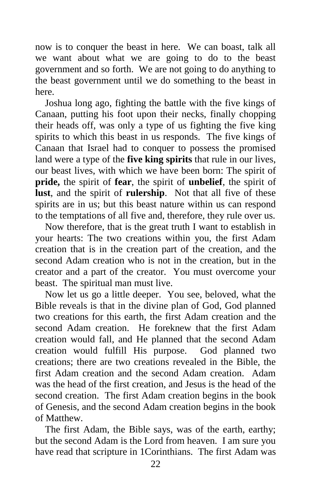now is to conquer the beast in here. We can boast, talk all we want about what we are going to do to the beast government and so forth. We are not going to do anything to the beast government until we do something to the beast in here.

 Joshua long ago, fighting the battle with the five kings of Canaan, putting his foot upon their necks, finally chopping their heads off, was only a type of us fighting the five king spirits to which this beast in us responds. The five kings of Canaan that Israel had to conquer to possess the promised land were a type of the **five king spirits** that rule in our lives, our beast lives, with which we have been born: The spirit of **pride,** the spirit of **fear**, the spirit of **unbelief**, the spirit of **lust**, and the spirit of **rulership**. Not that all five of these spirits are in us; but this beast nature within us can respond to the temptations of all five and, therefore, they rule over us.

 Now therefore, that is the great truth I want to establish in your hearts: The two creations within you, the first Adam creation that is in the creation part of the creation, and the second Adam creation who is not in the creation, but in the creator and a part of the creator. You must overcome your beast. The spiritual man must live.

 Now let us go a little deeper. You see, beloved, what the Bible reveals is that in the divine plan of God, God planned two creations for this earth, the first Adam creation and the second Adam creation. He foreknew that the first Adam creation would fall, and He planned that the second Adam creation would fulfill His purpose. God planned two creations; there are two creations revealed in the Bible, the first Adam creation and the second Adam creation. Adam was the head of the first creation, and Jesus is the head of the second creation. The first Adam creation begins in the book of Genesis, and the second Adam creation begins in the book of Matthew.

 The first Adam, the Bible says, was of the earth, earthy; but the second Adam is the Lord from heaven. I am sure you have read that scripture in 1Corinthians. The first Adam was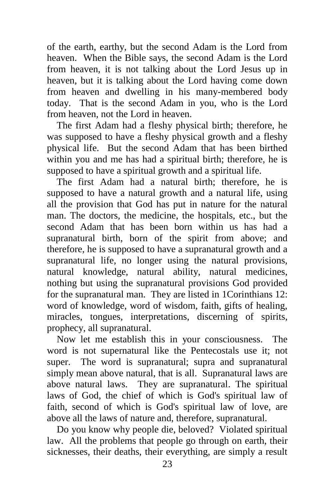of the earth, earthy, but the second Adam is the Lord from heaven. When the Bible says, the second Adam is the Lord from heaven, it is not talking about the Lord Jesus up in heaven, but it is talking about the Lord having come down from heaven and dwelling in his many-membered body today. That is the second Adam in you, who is the Lord from heaven, not the Lord in heaven.

 The first Adam had a fleshy physical birth; therefore, he was supposed to have a fleshy physical growth and a fleshy physical life. But the second Adam that has been birthed within you and me has had a spiritual birth; therefore, he is supposed to have a spiritual growth and a spiritual life.

 The first Adam had a natural birth; therefore, he is supposed to have a natural growth and a natural life, using all the provision that God has put in nature for the natural man. The doctors, the medicine, the hospitals, etc., but the second Adam that has been born within us has had a supranatural birth, born of the spirit from above; and therefore, he is supposed to have a supranatural growth and a supranatural life, no longer using the natural provisions, natural knowledge, natural ability, natural medicines, nothing but using the supranatural provisions God provided for the supranatural man. They are listed in 1Corinthians 12: word of knowledge, word of wisdom, faith, gifts of healing, miracles, tongues, interpretations, discerning of spirits, prophecy, all supranatural.

 Now let me establish this in your consciousness. The word is not supernatural like the Pentecostals use it; not super. The word is supranatural; supra and supranatural simply mean above natural, that is all. Supranatural laws are above natural laws. They are supranatural. The spiritual laws of God, the chief of which is God's spiritual law of faith, second of which is God's spiritual law of love, are above all the laws of nature and, therefore, supranatural.

 Do you know why people die, beloved? Violated spiritual law. All the problems that people go through on earth, their sicknesses, their deaths, their everything, are simply a result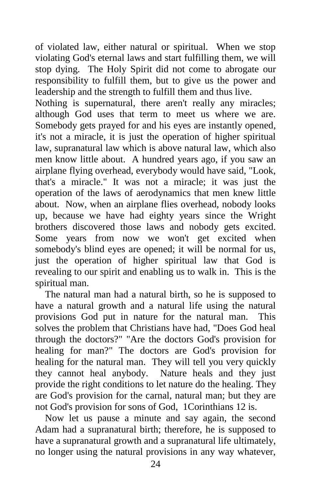of violated law, either natural or spiritual. When we stop violating God's eternal laws and start fulfilling them, we will stop dying. The Holy Spirit did not come to abrogate our responsibility to fulfill them, but to give us the power and leadership and the strength to fulfill them and thus live.

Nothing is supernatural, there aren't really any miracles; although God uses that term to meet us where we are. Somebody gets prayed for and his eyes are instantly opened, it's not a miracle, it is just the operation of higher spiritual law, supranatural law which is above natural law, which also men know little about. A hundred years ago, if you saw an airplane flying overhead, everybody would have said, "Look, that's a miracle." It was not a miracle; it was just the operation of the laws of aerodynamics that men knew little about. Now, when an airplane flies overhead, nobody looks up, because we have had eighty years since the Wright brothers discovered those laws and nobody gets excited. Some years from now we won't get excited when somebody's blind eyes are opened; it will be normal for us, just the operation of higher spiritual law that God is revealing to our spirit and enabling us to walk in. This is the spiritual man.

 The natural man had a natural birth, so he is supposed to have a natural growth and a natural life using the natural provisions God put in nature for the natural man. This solves the problem that Christians have had, "Does God heal through the doctors?" "Are the doctors God's provision for healing for man?" The doctors are God's provision for healing for the natural man. They will tell you very quickly they cannot heal anybody. Nature heals and they just provide the right conditions to let nature do the healing. They are God's provision for the carnal, natural man; but they are not God's provision for sons of God, 1Corinthians 12 is.

 Now let us pause a minute and say again, the second Adam had a supranatural birth; therefore, he is supposed to have a supranatural growth and a supranatural life ultimately, no longer using the natural provisions in any way whatever,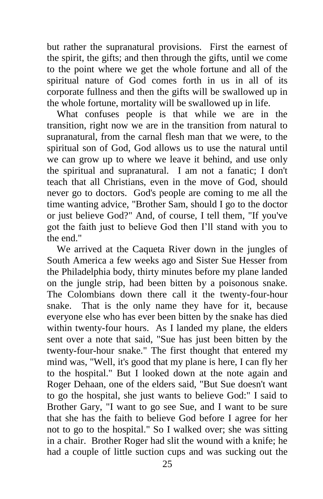but rather the supranatural provisions. First the earnest of the spirit, the gifts; and then through the gifts, until we come to the point where we get the whole fortune and all of the spiritual nature of God comes forth in us in all of its corporate fullness and then the gifts will be swallowed up in the whole fortune, mortality will be swallowed up in life.

 What confuses people is that while we are in the transition, right now we are in the transition from natural to supranatural, from the carnal flesh man that we were, to the spiritual son of God, God allows us to use the natural until we can grow up to where we leave it behind, and use only the spiritual and supranatural. I am not a fanatic; I don't teach that all Christians, even in the move of God, should never go to doctors. God's people are coming to me all the time wanting advice, "Brother Sam, should I go to the doctor or just believe God?" And, of course, I tell them, "If you've got the faith just to believe God then I'll stand with you to the end."

 We arrived at the Caqueta River down in the jungles of South America a few weeks ago and Sister Sue Hesser from the Philadelphia body, thirty minutes before my plane landed on the jungle strip, had been bitten by a poisonous snake. The Colombians down there call it the twenty-four-hour snake. That is the only name they have for it, because everyone else who has ever been bitten by the snake has died within twenty-four hours. As I landed my plane, the elders sent over a note that said, "Sue has just been bitten by the twenty-four-hour snake." The first thought that entered my mind was, "Well, it's good that my plane is here, I can fly her to the hospital." But I looked down at the note again and Roger Dehaan, one of the elders said, "But Sue doesn't want to go the hospital, she just wants to believe God:" I said to Brother Gary, "I want to go see Sue, and I want to be sure that she has the faith to believe God before I agree for her not to go to the hospital." So I walked over; she was sitting in a chair. Brother Roger had slit the wound with a knife; he had a couple of little suction cups and was sucking out the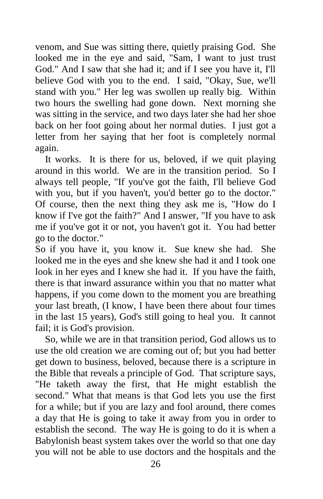venom, and Sue was sitting there, quietly praising God. She looked me in the eye and said, "Sam, I want to just trust God." And I saw that she had it; and if I see you have it, I'll believe God with you to the end. I said, "Okay, Sue, we'll stand with you." Her leg was swollen up really big. Within two hours the swelling had gone down. Next morning she was sitting in the service, and two days later she had her shoe back on her foot going about her normal duties. I just got a letter from her saying that her foot is completely normal again.

 It works. It is there for us, beloved, if we quit playing around in this world. We are in the transition period. So I always tell people, "If you've got the faith, I'll believe God with you, but if you haven't, you'd better go to the doctor." Of course, then the next thing they ask me is, "How do I know if I've got the faith?" And I answer, "If you have to ask me if you've got it or not, you haven't got it. You had better go to the doctor."

So if you have it, you know it. Sue knew she had. She looked me in the eyes and she knew she had it and I took one look in her eyes and I knew she had it. If you have the faith, there is that inward assurance within you that no matter what happens, if you come down to the moment you are breathing your last breath, (I know, I have been there about four times in the last 15 years), God's still going to heal you. It cannot fail; it is God's provision.

 So, while we are in that transition period, God allows us to use the old creation we are coming out of; but you had better get down to business, beloved, because there is a scripture in the Bible that reveals a principle of God. That scripture says, "He taketh away the first, that He might establish the second." What that means is that God lets you use the first for a while; but if you are lazy and fool around, there comes a day that He is going to take it away from you in order to establish the second. The way He is going to do it is when a Babylonish beast system takes over the world so that one day you will not be able to use doctors and the hospitals and the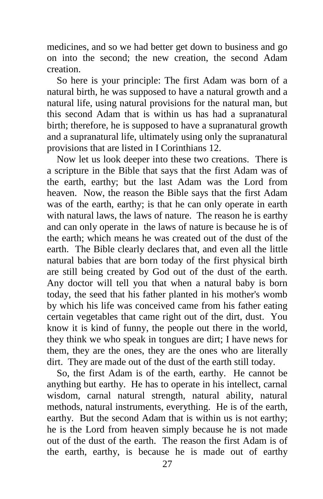medicines, and so we had better get down to business and go on into the second; the new creation, the second Adam creation.

 So here is your principle: The first Adam was born of a natural birth, he was supposed to have a natural growth and a natural life, using natural provisions for the natural man, but this second Adam that is within us has had a supranatural birth; therefore, he is supposed to have a supranatural growth and a supranatural life, ultimately using only the supranatural provisions that are listed in I Corinthians 12.

 Now let us look deeper into these two creations. There is a scripture in the Bible that says that the first Adam was of the earth, earthy; but the last Adam was the Lord from heaven. Now, the reason the Bible says that the first Adam was of the earth, earthy; is that he can only operate in earth with natural laws, the laws of nature. The reason he is earthy and can only operate in the laws of nature is because he is of the earth; which means he was created out of the dust of the earth. The Bible clearly declares that, and even all the little natural babies that are born today of the first physical birth are still being created by God out of the dust of the earth. Any doctor will tell you that when a natural baby is born today, the seed that his father planted in his mother's womb by which his life was conceived came from his father eating certain vegetables that came right out of the dirt, dust. You know it is kind of funny, the people out there in the world, they think we who speak in tongues are dirt; I have news for them, they are the ones, they are the ones who are literally dirt. They are made out of the dust of the earth still today.

 So, the first Adam is of the earth, earthy. He cannot be anything but earthy. He has to operate in his intellect, carnal wisdom, carnal natural strength, natural ability, natural methods, natural instruments, everything. He is of the earth, earthy. But the second Adam that is within us is not earthy; he is the Lord from heaven simply because he is not made out of the dust of the earth. The reason the first Adam is of the earth, earthy, is because he is made out of earthy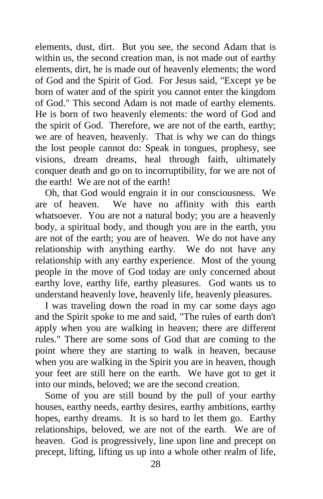elements, dust, dirt. But you see, the second Adam that is within us, the second creation man, is not made out of earthy elements, dirt, he is made out of heavenly elements; the word of God and the Spirit of God. For Jesus said, "Except ye be born of water and of the spirit you cannot enter the kingdom of God." This second Adam is not made of earthy elements. He is born of two heavenly elements: the word of God and the spirit of God. Therefore, we are not of the earth, earthy; we are of heaven, heavenly. That is why we can do things the lost people cannot do: Speak in tongues, prophesy, see visions, dream dreams, heal through faith, ultimately conquer death and go on to incorruptibility, for we are not of the earth! We are not of the earth!

 Oh, that God would engrain it in our consciousness. We are of heaven. We have no affinity with this earth whatsoever. You are not a natural body; you are a heavenly body, a spiritual body, and though you are in the earth, you are not of the earth; you are of heaven. We do not have any relationship with anything earthy. We do not have any relationship with any earthy experience. Most of the young people in the move of God today are only concerned about earthy love, earthy life, earthy pleasures. God wants us to understand heavenly love, heavenly life, heavenly pleasures.

 I was traveling down the road in my car some days ago and the Spirit spoke to me and said, "The rules of earth don't apply when you are walking in heaven; there are different rules." There are some sons of God that are coming to the point where they are starting to walk in heaven, because when you are walking in the Spirit you are in heaven, though your feet are still here on the earth. We have got to get it into our minds, beloved; we are the second creation.

 Some of you are still bound by the pull of your earthy houses, earthy needs, earthy desires, earthy ambitions, earthy hopes, earthy dreams. It is so hard to let them go. Earthy relationships, beloved, we are not of the earth. We are of heaven. God is progressively, line upon line and precept on precept, lifting, lifting us up into a whole other realm of life,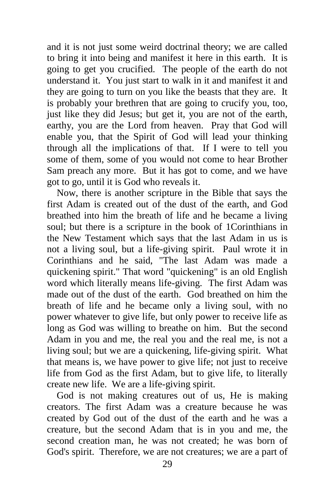and it is not just some weird doctrinal theory; we are called to bring it into being and manifest it here in this earth. It is going to get you crucified. The people of the earth do not understand it. You just start to walk in it and manifest it and they are going to turn on you like the beasts that they are. It is probably your brethren that are going to crucify you, too, just like they did Jesus; but get it, you are not of the earth, earthy, you are the Lord from heaven. Pray that God will enable you, that the Spirit of God will lead your thinking through all the implications of that. If I were to tell you some of them, some of you would not come to hear Brother Sam preach any more. But it has got to come, and we have got to go, until it is God who reveals it.

 Now, there is another scripture in the Bible that says the first Adam is created out of the dust of the earth, and God breathed into him the breath of life and he became a living soul; but there is a scripture in the book of 1Corinthians in the New Testament which says that the last Adam in us is not a living soul, but a life-giving spirit. Paul wrote it in Corinthians and he said, "The last Adam was made a quickening spirit." That word "quickening" is an old English word which literally means life-giving. The first Adam was made out of the dust of the earth. God breathed on him the breath of life and he became only a living soul, with no power whatever to give life, but only power to receive life as long as God was willing to breathe on him. But the second Adam in you and me, the real you and the real me, is not a living soul; but we are a quickening, life-giving spirit. What that means is, we have power to give life; not just to receive life from God as the first Adam, but to give life, to literally create new life. We are a life-giving spirit.

 God is not making creatures out of us, He is making creators. The first Adam was a creature because he was created by God out of the dust of the earth and he was a creature, but the second Adam that is in you and me, the second creation man, he was not created; he was born of God's spirit. Therefore, we are not creatures; we are a part of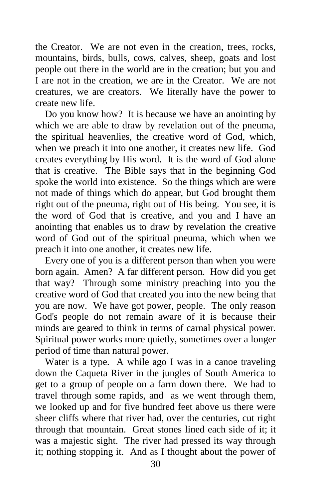the Creator. We are not even in the creation, trees, rocks, mountains, birds, bulls, cows, calves, sheep, goats and lost people out there in the world are in the creation; but you and I are not in the creation, we are in the Creator. We are not creatures, we are creators. We literally have the power to create new life.

 Do you know how? It is because we have an anointing by which we are able to draw by revelation out of the pneuma, the spiritual heavenlies, the creative word of God, which, when we preach it into one another, it creates new life. God creates everything by His word. It is the word of God alone that is creative. The Bible says that in the beginning God spoke the world into existence. So the things which are were not made of things which do appear, but God brought them right out of the pneuma, right out of His being. You see, it is the word of God that is creative, and you and I have an anointing that enables us to draw by revelation the creative word of God out of the spiritual pneuma, which when we preach it into one another, it creates new life.

 Every one of you is a different person than when you were born again. Amen? A far different person. How did you get that way? Through some ministry preaching into you the creative word of God that created you into the new being that you are now. We have got power, people. The only reason God's people do not remain aware of it is because their minds are geared to think in terms of carnal physical power. Spiritual power works more quietly, sometimes over a longer period of time than natural power.

 Water is a type. A while ago I was in a canoe traveling down the Caqueta River in the jungles of South America to get to a group of people on a farm down there. We had to travel through some rapids, and as we went through them, we looked up and for five hundred feet above us there were sheer cliffs where that river had, over the centuries, cut right through that mountain. Great stones lined each side of it; it was a majestic sight. The river had pressed its way through it; nothing stopping it. And as I thought about the power of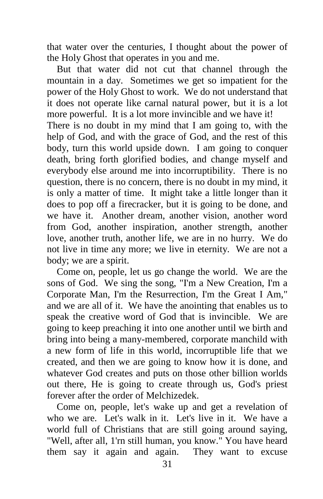that water over the centuries, I thought about the power of the Holy Ghost that operates in you and me.

 But that water did not cut that channel through the mountain in a day. Sometimes we get so impatient for the power of the Holy Ghost to work. We do not understand that it does not operate like carnal natural power, but it is a lot more powerful. It is a lot more invincible and we have it! There is no doubt in my mind that I am going to, with the help of God, and with the grace of God, and the rest of this body, turn this world upside down. I am going to conquer death, bring forth glorified bodies, and change myself and everybody else around me into incorruptibility. There is no question, there is no concern, there is no doubt in my mind, it is only a matter of time. It might take a little longer than it does to pop off a firecracker, but it is going to be done, and we have it. Another dream, another vision, another word from God, another inspiration, another strength, another love, another truth, another life, we are in no hurry. We do not live in time any more; we live in eternity. We are not a body; we are a spirit.

 Come on, people, let us go change the world. We are the sons of God. We sing the song, "I'm a New Creation, I'm a Corporate Man, I'm the Resurrection, I'm the Great I Am," and we are all of it. We have the anointing that enables us to speak the creative word of God that is invincible. We are going to keep preaching it into one another until we birth and bring into being a many-membered, corporate manchild with a new form of life in this world, incorruptible life that we created, and then we are going to know how it is done, and whatever God creates and puts on those other billion worlds out there, He is going to create through us, God's priest forever after the order of Melchizedek.

 Come on, people, let's wake up and get a revelation of who we are. Let's walk in it. Let's live in it. We have a world full of Christians that are still going around saying, "Well, after all, 1'rn still human, you know." You have heard them say it again and again. They want to excuse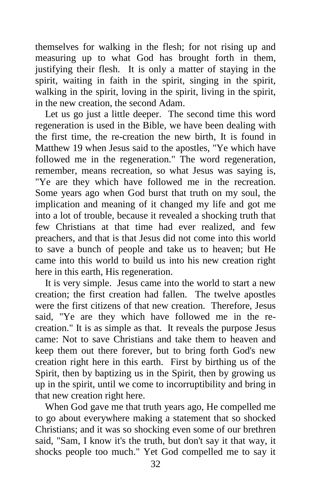themselves for walking in the flesh; for not rising up and measuring up to what God has brought forth in them, justifying their flesh. It is only a matter of staying in the spirit, waiting in faith in the spirit, singing in the spirit, walking in the spirit, loving in the spirit, living in the spirit, in the new creation, the second Adam.

 Let us go just a little deeper. The second time this word regeneration is used in the Bible, we have been dealing with the first time, the re-creation the new birth, It is found in Matthew 19 when Jesus said to the apostles, "Ye which have followed me in the regeneration." The word regeneration, remember, means recreation, so what Jesus was saying is, "Ye are they which have followed me in the recreation. Some years ago when God burst that truth on my soul, the implication and meaning of it changed my life and got me into a lot of trouble, because it revealed a shocking truth that few Christians at that time had ever realized, and few preachers, and that is that Jesus did not come into this world to save a bunch of people and take us to heaven; but He came into this world to build us into his new creation right here in this earth, His regeneration.

 It is very simple. Jesus came into the world to start a new creation; the first creation had fallen. The twelve apostles were the first citizens of that new creation. Therefore, Jesus said, "Ye are they which have followed me in the recreation." It is as simple as that. It reveals the purpose Jesus came: Not to save Christians and take them to heaven and keep them out there forever, but to bring forth God's new creation right here in this earth. First by birthing us of the Spirit, then by baptizing us in the Spirit, then by growing us up in the spirit, until we come to incorruptibility and bring in that new creation right here.

 When God gave me that truth years ago, He compelled me to go about everywhere making a statement that so shocked Christians; and it was so shocking even some of our brethren said, "Sam, I know it's the truth, but don't say it that way, it shocks people too much." Yet God compelled me to say it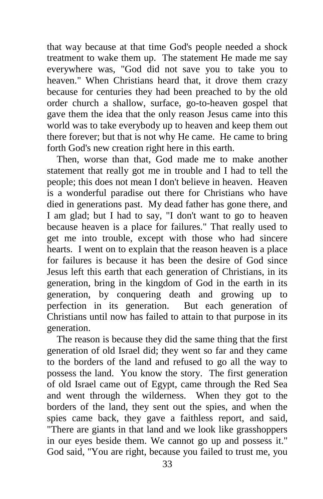that way because at that time God's people needed a shock treatment to wake them up. The statement He made me say everywhere was, "God did not save you to take you to heaven." When Christians heard that, it drove them crazy because for centuries they had been preached to by the old order church a shallow, surface, go-to-heaven gospel that gave them the idea that the only reason Jesus came into this world was to take everybody up to heaven and keep them out there forever; but that is not why He came. He came to bring forth God's new creation right here in this earth.

 Then, worse than that, God made me to make another statement that really got me in trouble and I had to tell the people; this does not mean I don't believe in heaven. Heaven is a wonderful paradise out there for Christians who have died in generations past. My dead father has gone there, and I am glad; but I had to say, "I don't want to go to heaven because heaven is a place for failures." That really used to get me into trouble, except with those who had sincere hearts. I went on to explain that the reason heaven is a place for failures is because it has been the desire of God since Jesus left this earth that each generation of Christians, in its generation, bring in the kingdom of God in the earth in its generation, by conquering death and growing up to perfection in its generation. But each generation of Christians until now has failed to attain to that purpose in its generation.

 The reason is because they did the same thing that the first generation of old Israel did; they went so far and they came to the borders of the land and refused to go all the way to possess the land. You know the story. The first generation of old Israel came out of Egypt, came through the Red Sea and went through the wilderness. When they got to the borders of the land, they sent out the spies, and when the spies came back, they gave a faithless report, and said, "There are giants in that land and we look like grasshoppers in our eyes beside them. We cannot go up and possess it." God said, "You are right, because you failed to trust me, you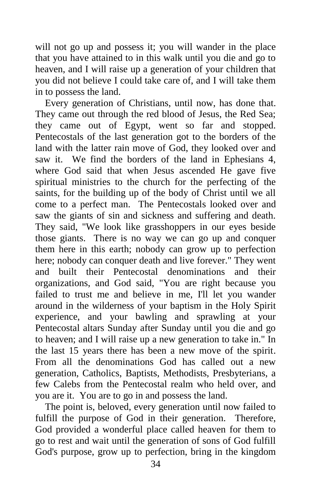will not go up and possess it; you will wander in the place that you have attained to in this walk until you die and go to heaven, and I will raise up a generation of your children that you did not believe I could take care of, and I will take them in to possess the land.

 Every generation of Christians, until now, has done that. They came out through the red blood of Jesus, the Red Sea; they came out of Egypt, went so far and stopped. Pentecostals of the last generation got to the borders of the land with the latter rain move of God, they looked over and saw it. We find the borders of the land in Ephesians 4, where God said that when Jesus ascended He gave five spiritual ministries to the church for the perfecting of the saints, for the building up of the body of Christ until we all come to a perfect man. The Pentecostals looked over and saw the giants of sin and sickness and suffering and death. They said, "We look like grasshoppers in our eyes beside those giants. There is no way we can go up and conquer them here in this earth; nobody can grow up to perfection here; nobody can conquer death and live forever." They went and built their Pentecostal denominations and their organizations, and God said, "You are right because you failed to trust me and believe in me, I'll let you wander around in the wilderness of your baptism in the Holy Spirit experience, and your bawling and sprawling at your Pentecostal altars Sunday after Sunday until you die and go to heaven; and I will raise up a new generation to take in." In the last 15 years there has been a new move of the spirit. From all the denominations God has called out a new generation, Catholics, Baptists, Methodists, Presbyterians, a few Calebs from the Pentecostal realm who held over, and you are it. You are to go in and possess the land.

 The point is, beloved, every generation until now failed to fulfill the purpose of God in their generation. Therefore, God provided a wonderful place called heaven for them to go to rest and wait until the generation of sons of God fulfill God's purpose, grow up to perfection, bring in the kingdom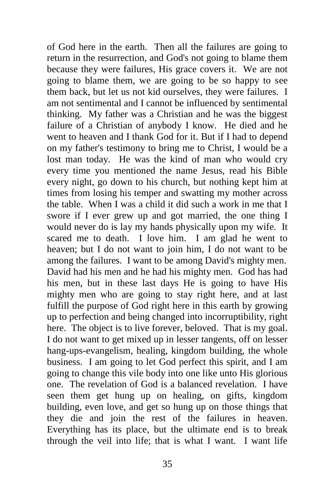of God here in the earth. Then all the failures are going to return in the resurrection, and God's not going to blame them because they were failures, His grace covers it. We are not going to blame them, we are going to be so happy to see them back, but let us not kid ourselves, they were failures. I am not sentimental and I cannot be influenced by sentimental thinking. My father was a Christian and he was the biggest failure of a Christian of anybody I know. He died and he went to heaven and I thank God for it. But if I had to depend on my father's testimony to bring me to Christ, I would be a lost man today. He was the kind of man who would cry every time you mentioned the name Jesus, read his Bible every night, go down to his church, but nothing kept him at times from losing his temper and swatting my mother across the table. When I was a child it did such a work in me that I swore if I ever grew up and got married, the one thing I would never do is lay my hands physically upon my wife. It scared me to death. I love him. I am glad he went to heaven; but I do not want to join him, I do not want to be among the failures. I want to be among David's mighty men. David had his men and he had his mighty men. God has had his men, but in these last days He is going to have His mighty men who are going to stay right here, and at last fulfill the purpose of God right here in this earth by growing up to perfection and being changed into incorruptibility, right here. The object is to live forever, beloved. That is my goal. I do not want to get mixed up in lesser tangents, off on lesser hang-ups-evangelism, healing, kingdom building, the whole business. I am going to let God perfect this spirit, and I am going to change this vile body into one like unto His glorious one. The revelation of God is a balanced revelation. I have seen them get hung up on healing, on gifts, kingdom building, even love, and get so hung up on those things that they die and join the rest of the failures in heaven. Everything has its place, but the ultimate end is to break through the veil into life; that is what I want. I want life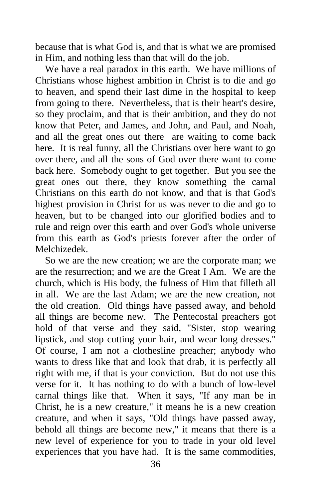because that is what God is, and that is what we are promised in Him, and nothing less than that will do the job.

 We have a real paradox in this earth. We have millions of Christians whose highest ambition in Christ is to die and go to heaven, and spend their last dime in the hospital to keep from going to there. Nevertheless, that is their heart's desire, so they proclaim, and that is their ambition, and they do not know that Peter, and James, and John, and Paul, and Noah, and all the great ones out there are waiting to come back here. It is real funny, all the Christians over here want to go over there, and all the sons of God over there want to come back here. Somebody ought to get together. But you see the great ones out there, they know something the carnal Christians on this earth do not know, and that is that God's highest provision in Christ for us was never to die and go to heaven, but to be changed into our glorified bodies and to rule and reign over this earth and over God's whole universe from this earth as God's priests forever after the order of Melchizedek.

 So we are the new creation; we are the corporate man; we are the resurrection; and we are the Great I Am. We are the church, which is His body, the fulness of Him that filleth all in all. We are the last Adam; we are the new creation, not the old creation. Old things have passed away, and behold all things are become new. The Pentecostal preachers got hold of that verse and they said, "Sister, stop wearing lipstick, and stop cutting your hair, and wear long dresses." Of course, I am not a clothesline preacher; anybody who wants to dress like that and look that drab, it is perfectly all right with me, if that is your conviction. But do not use this verse for it. It has nothing to do with a bunch of low-level carnal things like that. When it says, "If any man be in Christ, he is a new creature," it means he is a new creation creature, and when it says, "Old things have passed away, behold all things are become new," it means that there is a new level of experience for you to trade in your old level experiences that you have had. It is the same commodities,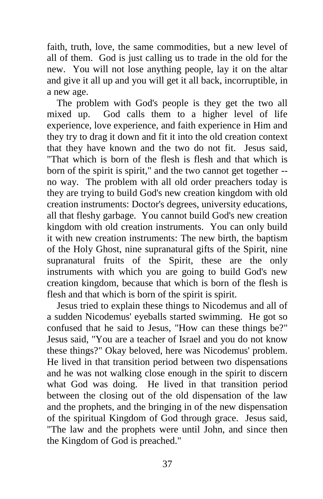faith, truth, love, the same commodities, but a new level of all of them. God is just calling us to trade in the old for the new. You will not lose anything people, lay it on the altar and give it all up and you will get it all back, incorruptible, in a new age.

 The problem with God's people is they get the two all mixed up. God calls them to a higher level of life experience, love experience, and faith experience in Him and they try to drag it down and fit it into the old creation context that they have known and the two do not fit. Jesus said, "That which is born of the flesh is flesh and that which is born of the spirit is spirit," and the two cannot get together - no way. The problem with all old order preachers today is they are trying to build God's new creation kingdom with old creation instruments: Doctor's degrees, university educations, all that fleshy garbage. You cannot build God's new creation kingdom with old creation instruments. You can only build it with new creation instruments: The new birth, the baptism of the Holy Ghost, nine supranatural gifts of the Spirit, nine supranatural fruits of the Spirit, these are the only instruments with which you are going to build God's new creation kingdom, because that which is born of the flesh is flesh and that which is born of the spirit is spirit.

 Jesus tried to explain these things to Nicodemus and all of a sudden Nicodemus' eyeballs started swimming. He got so confused that he said to Jesus, "How can these things be?" Jesus said, "You are a teacher of Israel and you do not know these things?" Okay beloved, here was Nicodemus' problem. He lived in that transition period between two dispensations and he was not walking close enough in the spirit to discern what God was doing. He lived in that transition period between the closing out of the old dispensation of the law and the prophets, and the bringing in of the new dispensation of the spiritual Kingdom of God through grace. Jesus said, "The law and the prophets were until John, and since then the Kingdom of God is preached."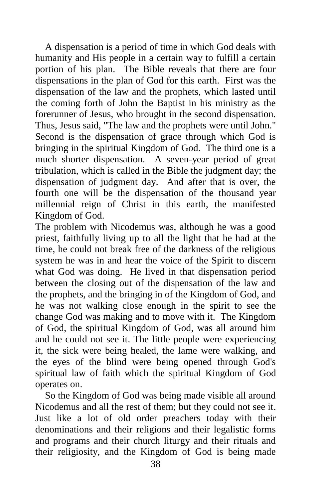A dispensation is a period of time in which God deals with humanity and His people in a certain way to fulfill a certain portion of his plan. The Bible reveals that there are four dispensations in the plan of God for this earth. First was the dispensation of the law and the prophets, which lasted until the coming forth of John the Baptist in his ministry as the forerunner of Jesus, who brought in the second dispensation. Thus, Jesus said, "The law and the prophets were until John." Second is the dispensation of grace through which God is bringing in the spiritual Kingdom of God. The third one is a much shorter dispensation. A seven-year period of great tribulation, which is called in the Bible the judgment day; the dispensation of judgment day. And after that is over, the fourth one will be the dispensation of the thousand year millennial reign of Christ in this earth, the manifested Kingdom of God.

The problem with Nicodemus was, although he was a good priest, faithfully living up to all the light that he had at the time, he could not break free of the darkness of the religious system he was in and hear the voice of the Spirit to discern what God was doing. He lived in that dispensation period between the closing out of the dispensation of the law and the prophets, and the bringing in of the Kingdom of God, and he was not walking close enough in the spirit to see the change God was making and to move with it. The Kingdom of God, the spiritual Kingdom of God, was all around him and he could not see it. The little people were experiencing it, the sick were being healed, the lame were walking, and the eyes of the blind were being opened through God's spiritual law of faith which the spiritual Kingdom of God operates on.

 So the Kingdom of God was being made visible all around Nicodemus and all the rest of them; but they could not see it. Just like a lot of old order preachers today with their denominations and their religions and their legalistic forms and programs and their church liturgy and their rituals and their religiosity, and the Kingdom of God is being made